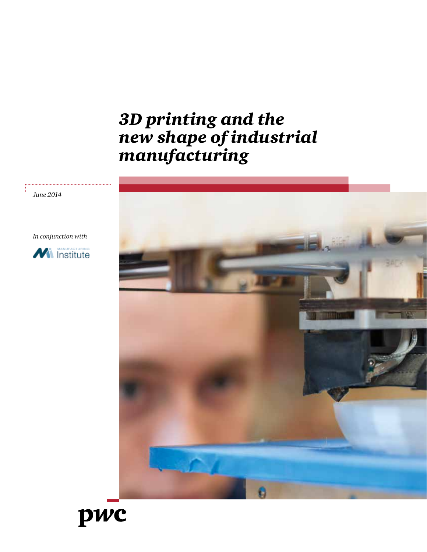# *3D printing and the new shape of industrial manufacturing*



*June 2014*

*In conjunction with*



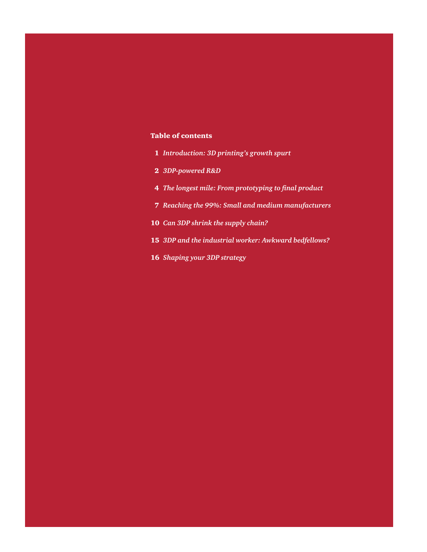## Table of contents

- *Introduction: 3D printing's growth spurt*
- *3DP-powered R&D*
- *The longest mile: From prototyping to final product*
- *Reaching the 99%: Small and medium manufacturers*
- *Can 3DP shrink the supply chain?*
- *3DP and the industrial worker: Awkward bedfellows?*
- *Shaping your 3DP strategy*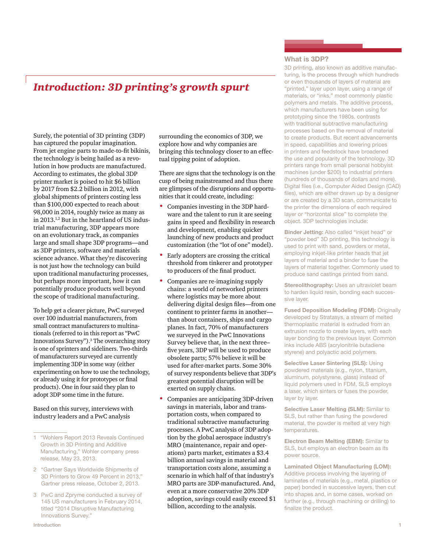# *Introduction: 3D printing's growth spurt*

Surely, the potential of 3D printing (3DP) has captured the popular imagination. From jet engine parts to made-to-fit bikinis, the technology is being hailed as a revolution in how products are manufactured. According to estimates, the global 3DP printer market is poised to hit \$6 billion by 2017 from \$2.2 billion in 2012, with global shipments of printers costing less than \$100,000 expected to reach about 98,000 in 2014, roughly twice as many as in 2013.1,2 But in the heartland of US industrial manufacturing, 3DP appears more on an evolutionary track, as companies large and small shape 3DP programs—and as 3DP printers, software and materials science advance. What they're discovering is not just how the technology can build upon traditional manufacturing processes, but perhaps more important, how it can potentially produce products well beyond the scope of traditional manufacturing.

To help get a clearer picture, PwC surveyed over 100 industrial manufacturers, from small contract manufacturers to multinationals (referred to in this report as "PwC Innovations Survey").<sup>3</sup> The overarching story is one of sprinters and sideliners. Two-thirds of manufacturers surveyed are currently implementing 3DP in some way (either experimenting on how to use the technology, or already using it for prototypes or final products). One in four said they plan to adopt 3DP some time in the future.

Based on this survey, interviews with industry leaders and a PwC analysis

surrounding the economics of 3DP, we explore how and why companies are bringing this technology closer to an effectual tipping point of adoption.

There are signs that the technology is on the cusp of being mainstreamed and thus there are glimpses of the disruptions and opportunities that it could create, including:

- Companies investing in the 3DP hardware and the talent to run it are seeing gains in speed and flexibility in research and development, enabling quicker launching of new products and product customization (the "lot of one" model).
- Early adopters are crossing the critical threshold from tinkerer and prototyper to producers of the final product.
- Companies are re-imagining supply chains: a world of networked printers where logistics may be more about delivering digital design files—from one continent to printer farms in another than about containers, ships and cargo planes. In fact, 70% of manufacturers we surveyed in the PwC Innovations Survey believe that, in the next three– five years, 3DP will be used to produce obsolete parts; 57% believe it will be used for after-market parts. Some 30% of survey respondents believe that 3DP's greatest potential disruption will be exerted on supply chains.
- Companies are anticipating 3DP-driven savings in materials, labor and transportation costs, when compared to traditional subtractive manufacturing processes. A PwC analysis of 3DP adoption by the global aerospace industry's MRO (maintenance, repair and operations) parts market, estimates a \$3.4 billion annual savings in material and transportation costs alone, assuming a scenario in which half of that industry's MRO parts are 3DP-manufactured. And, even at a more conservative 20% 3DP adoption, savings could easily exceed \$1 billion, according to the analysis.

#### **What is 3DP?**

3D printing, also known as additive manufacturing, is the process through which hundreds or even thousands of layers of material are "printed," layer upon layer, using a range of materials, or "inks," most commonly plastic polymers and metals. The additive process, which manufacturers have been using for prototyping since the 1980s, contrasts with traditional subtractive manufacturing processes based on the removal of material to create products. But recent advancements in speed, capabilities and lowering prices in printers and feedstock have broadened the use and popularity of the technology. 3D printers range from small personal hobbyist machines (under \$200) to industrial printers (hundreds of thousands of dollars and more). Digital files (i.e., Computer Aided Design (CAD) files), which are either drawn up by a designer or are created by a 3D scan, communicate to the printer the dimensions of each required layer or "horizontal slice" to complete the object. 3DP technologies include:

**Binder Jetting:** Also called "inkjet head" or "powder bed" 3D printing, this technology is used to print with sand, powders or metal, employing inkjet-like printer heads that jet layers of material and a binder to fuse the layers of material together. Commonly used to produce sand castings printed from sand.

**Stereolithography:** Uses an ultraviolet beam to harden liquid resin, bonding each successive layer.

**Fused Deposition Modeling (FDM):** Originally developed by Stratasys, a stream of melted thermoplastic material is extruded from an extrusion nozzle to create layers, with each layer bonding to the previous layer. Common inks include ABS (acrylonitrile butadiene styrene) and polyactic acid polymers.

**Selective Laser Sintering (SLS):** Using powdered materials (e.g., nylon, titanium, aluminum, polystyrene, glass) instead of liquid polymers used in FDM, SLS employs a laser, which sinters or fuses the powder, layer by layer.

**Selective Laser Melting (SLM):** Similar to SLS, but rather than fusing the powdered material, the powder is melted at very high temperatures.

**Electron Beam Melting (EBM):** Similar to SLS, but employs an electron beam as its power source.

**Laminated Object Manufacturing (LOM):**  Additive process involving the layering of laminates of materials (e.g., metal, plastics or paper) bonded in successive layers, then cut into shapes and, in some cases, worked on further (e.g., through machining or drilling) to finalize the product.

<sup>&</sup>quot;Wohlers Report 2013 Reveals Continued Growth in 3D Printing and Additive Manufacturing," Wohler company press release, May 23, 2013.

<sup>2</sup> "Gartner Says Worldwide Shipments of 3D Printers to Grow 49 Percent in 2013," Gartner press release, October 2, 2013.

<sup>3</sup> PwC and Zpryme conducted a survey of 145 US manufacturers in February 2014, titled "2014 Disruptive Manufacturing Innovations Survey."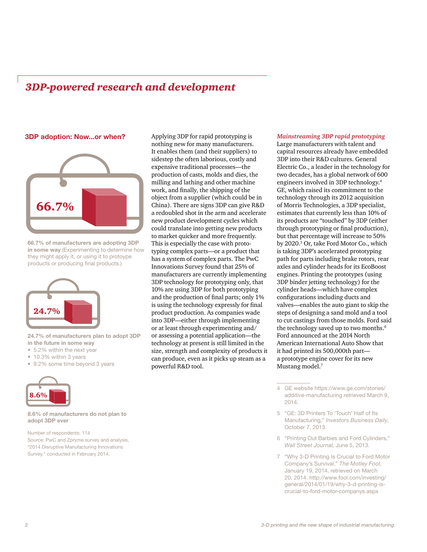# *3DP-powered research and development*

#### **3DP adoption: Now...or when?**



**66.7% of manufacturers are adopting 3DP in some way** (Experimenting to determine how they might apply it, or using it to protoype products or producing final products.)



#### **24.7% of manufacturers plan to adopt 3DP in the future in some way**

- 5.2% within the next year
- 10.3% within 3 years
- 9.2% some time beyond 3 years



#### **8.6% of manufacturers do not plan to adopt 3DP ever**

Number of respondents: 114 Source: PwC and Zpryme survey and analysis, "2014 Disruptive Manufacturing Innovations Survey," conducted in February 2014.

Applying 3DP for rapid prototyping is nothing new for many manufacturers. It enables them (and their suppliers) to sidestep the often laborious, costly and expensive traditional processes—the production of casts, molds and dies, the milling and lathing and other machine work, and finally, the shipping of the object from a supplier (which could be in China). There are signs 3DP can give R&D a redoubled shot in the arm and accelerate new product development cycles which could translate into getting new products to market quicker and more frequently. This is especially the case with prototyping complex parts—or a product that has a system of complex parts. The PwC Innovations Survey found that 25% of manufacturers are currently implementing 3DP technology for prototyping only, that 10% are using 3DP for both prototyping and the production of final parts; only 1% is using the technology expressly for final product production. As companies wade into 3DP—either through implementing or at least through experimenting and/ or assessing a potential application—the technology at present is still limited in the size, strength and complexity of products it can produce, even as it picks up steam as a powerful R&D tool.

#### *Mainstreaming 3DP rapid prototyping*

Large manufacturers with talent and capital resources already have embedded 3DP into their R&D cultures. General Electric Co., a leader in the technology for two decades, has a global network of 600 engineers involved in 3DP technology.4 GE, which raised its commitment to the technology through its 2012 acquisition of Morris Technologies, a 3DP specialist, estimates that currently less than 10% of its products are "touched" by 3DP (either through prototyping or final production), but that percentage will increase to 50% by 2020.5 Or, take Ford Motor Co., which is taking 3DP's accelerated prototyping path for parts including brake rotors, rear axles and cylinder heads for its EcoBoost engines. Printing the prototypes (using 3DP binder jetting technology) for the cylinder heads—which have complex configurations including ducts and valves—enables the auto giant to skip the steps of designing a sand mold and a tool to cut castings from those molds. Ford said the technology saved up to two months.<sup>6</sup> Ford announced at the 2014 North American International Auto Show that it had printed its 500,000th part a prototype engine cover for its new Mustang model.<sup>7</sup>

- 5 "GE: 3D Printers To 'Touch' Half of Its Manufacturing," *Investors Business Daily*, October 7, 2013.
- 6 "Printing Out Barbies and Ford Cylinders," *Wall Street Journal,* June 5, 2013.
- 7 "Why 3-D Printing Is Crucial to Ford Motor Company's Survival," *The Motley Fool,* January 19, 2014, retrieved on March 20, 2014. http://www.fool.com/investing/ general/2014/01/19/why-3-d-printing-iscrucial-to-ford-motor-companys.aspx

<sup>4</sup> GE website https://www.ge.com/stories/ additive-manufacturing retrieved March 9, 2014.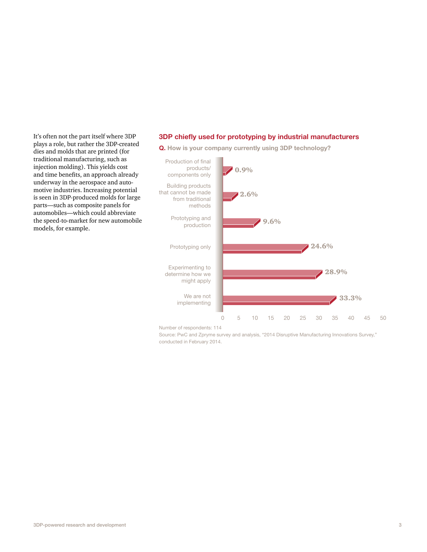It's often not the part itself where 3DP plays a role, but rather the 3DP-created dies and molds that are printed (for traditional manufacturing, such as injection molding). This yields cost and time benefits, an approach already underway in the aerospace and automotive industries. Increasing potential is seen in 3DP-produced molds for large parts—such as composite panels for automobiles—which could abbreviate the speed-to-market for new automobile models, for example.

### **3DP chiefly used for prototyping by industrial manufacturers**



**Q. How is your company currently using 3DP technology?**

Number of respondents: 114

Source: PwC and Zpryme survey and analysis, "2014 Disruptive Manufacturing Innovations Survey," conducted in February 2014.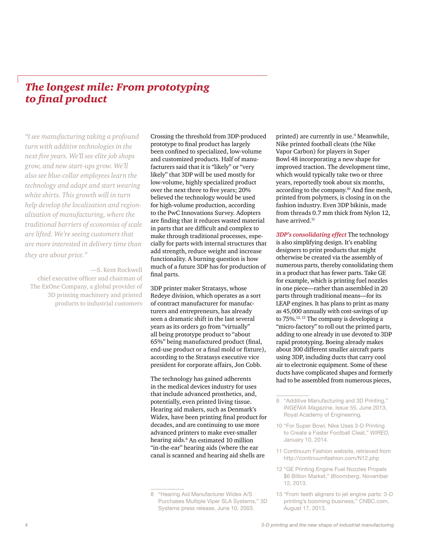# *The longest mile: From prototyping to final product*

*"I see manufacturing taking a profound turn with additive technologies in the next five years. We'll see elite job shops grow, and new start-ups grow. We'll also see blue-collar employees learn the technology and adapt and start wearing white shirts. This growth will in turn help develop the localization and regionalization of manufacturing, where the traditional barriers of economies of scale are lifted. We're seeing customers that are more interested in delivery time than they are about price."*

—S. Kent Rockwell chief executive officer and chairman of The ExOne Company, a global provider of 3D printing machinery and printed products to industrial customers

Crossing the threshold from 3DP-produced prototype to final product has largely been confined to specialized, low-volume and customized products. Half of manufacturers said that it is "likely" or "very likely" that 3DP will be used mostly for low-volume, highly specialized product over the next three to five years; 20% believed the technology would be used for high-volume production, according to the PwC Innovations Survey. Adopters are finding that it reduces wasted material in parts that are difficult and complex to make through traditional processes, especially for parts with internal structures that add strength, reduce weight and increase functionality. A burning question is how much of a future 3DP has for production of final parts.

3DP printer maker Stratasys, whose Redeye division, which operates as a sort of contract manufacturer for manufacturers and entrepreneurs, has already seen a dramatic shift in the last several years as its orders go from "virtually" all being prototype product to "about 65%" being manufactured product (final, end-use product or a final mold or fixture), according to the Stratasys executive vice president for corporate affairs, Jon Cobb.

The technology has gained adherents in the medical devices industry for uses that include advanced prosthetics, and, potentially, even printed living tissue. Hearing aid makers, such as Denmark's Widex, have been printing final product for decades, and are continuing to use more advanced printers to make ever-smaller hearing aids.8 An estimated 10 million "in-the-ear" hearing aids (where the ear canal is scanned and hearing aid shells are

printed) are currently in use.<sup>9</sup> Meanwhile, Nike printed football cleats (the Nike Vapor Carbon) for players in Super Bowl 48 incorporating a new shape for improved traction. The development time, which would typically take two or three years, reportedly took about six months, according to the company.10 And fine mesh, printed from polymers, is closing in on the fashion industry. Even 3DP bikinis, made from threads 0.7 mm thick from Nylon 12, have arrived.<sup>11</sup>

*3DP's consolidating effect* The technology is also simplifying design. It's enabling designers to print products that might otherwise be created via the assembly of numerous parts, thereby consolidating them in a product that has fewer parts. Take GE for example, which is printing fuel nozzles in one piece—rather than assembled in 20 parts through traditional means—for its LEAP engines. It has plans to print as many as 45,000 annually with cost-savings of up to 75%.12, 13 The company is developing a "micro-factory" to roll out the printed parts, adding to one already in use devoted to 3DP rapid prototyping. Boeing already makes about 300 different smaller aircraft parts using 3DP, including ducts that carry cool air to electronic equipment. Some of these ducts have complicated shapes and formerly had to be assembled from numerous pieces,

- 12 "GE Printing Engine Fuel Nozzles Propels \$6 Billion Market," *Bloomberg*, November 12, 2013.
- 13 "From teeth aligners to jet engine parts: 3-D printing's booming business," CNBC.com, August 17, 2013.

<sup>8</sup> "Hearing Aid Manufacturer Widex A/S Purchases Multiple Viper SLA Systems," 3D Systems press release, June 10, 2003.

<sup>9</sup> "Additive Manufacturing and 3D Printing," *INGENIA Magazine*, Issue 55, June 2013, Royal Academy of Engineering.

<sup>10</sup> "For Super Bowl, Nike Uses 3-D Printing to Create a Faster Football Cleat," *WIRED*, January 10, 2014.

<sup>11</sup> Continuum Fashion website, retrieved from http://continuumfashion.com/N12.php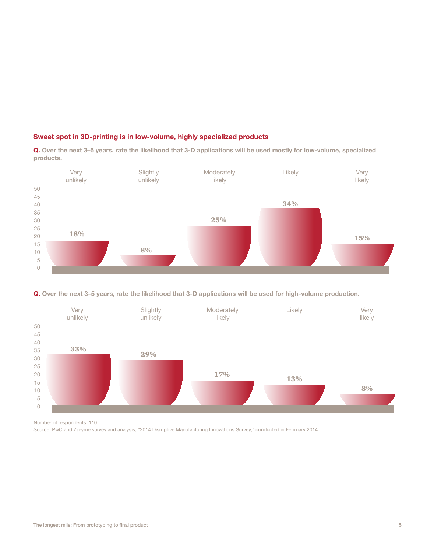### **Sweet spot in 3D-printing is in low-volume, highly specialized products**

**Q. Over the next 3–5 years, rate the likelihood that 3-D applications will be used mostly for low-volume, specialized products.**







Number of respondents: 110

Source: PwC and Zpryme survey and analysis, "2014 Disruptive Manufacturing Innovations Survey," conducted in February 2014.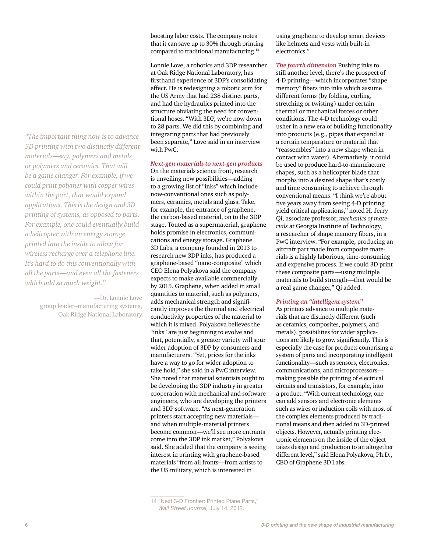*"The important thing now is to advance 3D printing with two distinctly different materials—say, polymers and metals or polymers and ceramics. That will be a game changer. For example, if we could print polymer with copper wires within the part, that would expand applications. This is the design and 3D printing of systems, as opposed to parts. For example, one could eventually build a helicopter with an energy storage printed into the inside to allow for wireless recharge over a telephone line. It's hard to do this conventionally with all the parts—and even all the fasteners which add so much weight."*

> —Dr. Lonnie Love group leader–manufacturing systems, Oak Ridge National Laboratory

boosting labor costs. The company notes that it can save up to 30% through printing compared to traditional manufacturing.<sup>14</sup>

Lonnie Love, a robotics and 3DP researcher at Oak Ridge National Laboratory, has firsthand experience of 3DP's consolidating effect. He is redesigning a robotic arm for the US Army that had 238 distinct parts, and had the hydraulics printed into the structure obviating the need for conventional hoses. "With 3DP, we're now down to 28 parts. We did this by combining and integrating parts that had previously been separate," Love said in an interview with PwC.

*Next-gen materials to next-gen products*

On the materials science front, research is unveiling new possibilities—adding to a growing list of "inks" which include now-conventional ones such as polymers, ceramics, metals and glass. Take, for example, the entrance of graphene, the carbon-based material, on to the 3DP stage. Touted as a supermaterial, graphene holds promise in electronics, communications and energy storage. Graphene 3D Labs, a company founded in 2013 to research new 3DP inks, has produced a graphene-based "nano-composite" which CEO Elena Polyakova said the company expects to make available commercially by 2015. Graphene, when added in small quantities to material, such as polymers, adds mechanical strength and significantly improves the thermal and electrical conductivity properties of the material to which it is mixed. Polyakova believes the "inks" are just beginning to evolve and that, potentially, a greater variety will spur wider adoption of 3DP by consumers and manufacturers. "Yet, prices for the inks have a way to go for wider adoption to take hold," she said in a PwC interview. She noted that material scientists ought to be developing the 3DP industry in greater cooperation with mechanical and software engineers, who are developing the printers and 3DP software. "As next-generation printers start accepting new materials and when multiple-material printers become common—we'll see more entrants come into the 3DP ink market," Polyakova said. She added that the company is seeing interest in printing with graphene-based materials "from all fronts—from artists to the US military, which is interested in

using graphene to develop smart devices like helmets and vests with built-in electronics."

*The fourth dimension* Pushing inks to still another level, there's the prospect of 4-D printing—which incorporates "shape memory" fibers into inks which assume different forms (by folding, curling, stretching or twisting) under certain thermal or mechanical forces or other conditions. The 4-D technology could usher in a new era of building functionality into products (e.g., pipes that expand at a certain temperature or material that "reassembles" into a new shape when in contact with water). Alternatively, it could be used to produce hard-to-manufacture shapes, such as a helicopter blade that morphs into a desired shape that's costly and time consuming to achieve through conventional means. "I think we're about five years away from seeing 4-D printing yield critical applications," noted H. Jerry Qi, associate professor, *mechanics of materials* at Georgia Institute of Technology, a researcher of shape memory fibers, in a PwC interview. "For example, producing an aircraft part made from composite materials is a highly laborious, time-consuming and expensive process. If we could 3D print these composite parts—using multiple materials to build strength—that would be a real game changer," Qi added.

#### *Printing an "intelligent system"*

As printers advance to multiple materials that are distinctly different (such as ceramics, composites, polymers, and metals), possibilities for wider applications are likely to grow significantly. This is especially the case for products comprising a system of parts and incorporating intelligent functionality—such as sensors, electronics, communications, and microprocessors making possible the printing of electrical circuits and transistors, for example, into a product. "With current technology, one can add sensors and electronic elements such as wires or induction coils with most of the complex elements produced by traditional means and then added to 3D-printed objects. However, actually printing electronic elements on the inside of the object takes design and production to an altogether different level," said Elena Polyakova, Ph.D., CEO of Graphene 3D Labs.

<sup>14</sup> "Next 3-D Frontier: Printed Plane Parts," *Wall Street Journal,* July 14, 2012.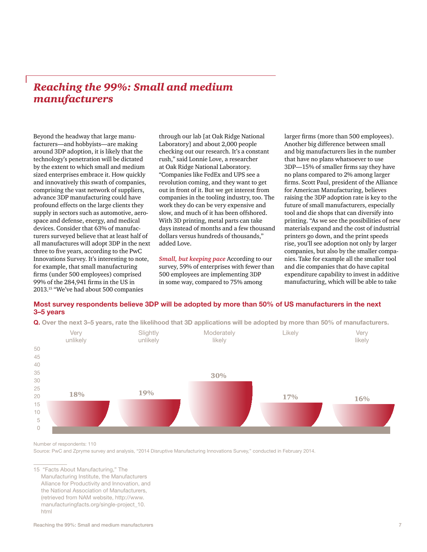# *Reaching the 99%: Small and medium manufacturers*

Beyond the headway that large manufacturers—and hobbyists—are making around 3DP adoption, it is likely that the technology's penetration will be dictated by the extent to which small and medium sized enterprises embrace it. How quickly and innovatively this swath of companies, comprising the vast network of suppliers, advance 3DP manufacturing could have profound effects on the large clients they supply in sectors such as automotive, aerospace and defense, energy, and medical devices. Consider that 63% of manufacturers surveyed believe that at least half of all manufactures will adopt 3DP in the next three to five years, according to the PwC Innovations Survey. It's interesting to note, for example, that small manufacturing firms (under 500 employees) comprised 99% of the 284,941 firms in the US in 2013.15 "We've had about 500 companies

through our lab [at Oak Ridge National Laboratory] and about 2,000 people checking out our research. It's a constant rush," said Lonnie Love, a researcher at Oak Ridge National Laboratory. "Companies like FedEx and UPS see a revolution coming, and they want to get out in front of it. But we get interest from companies in the tooling industry, too. The work they do can be very expensive and slow, and much of it has been offshored. With 3D printing, metal parts can take days instead of months and a few thousand dollars versus hundreds of thousands," added Love.

*Small, but keeping pace* According to our survey, 59% of enterprises with fewer than 500 employees are implementing 3DP in some way, compared to 75% among

larger firms (more than 500 employees). Another big difference between small and big manufacturers lies in the number that have no plans whatsoever to use 3DP—15% of smaller firms say they have no plans compared to 2% among larger firms. Scott Paul, president of the Alliance for American Manufacturing, believes raising the 3DP adoption rate is key to the future of small manufacturers, especially tool and die shops that can diversify into printing. "As we see the possibilities of new materials expand and the cost of industrial printers go down, and the print speeds rise, you'll see adoption not only by larger companies, but also by the smaller companies. Take for example all the smaller tool and die companies that do have capital expenditure capability to invest in additive manufacturing, which will be able to take

### **Most survey respondents believe 3DP will be adopted by more than 50% of US manufacturers in the next 3–5 years**



**Q. Over the next 3–5 years, rate the likelihood that 3D applications will be adopted by more than 50% of manufacturers.**

Number of respondents: 110

Source: PwC and Zpryme survey and analysis, "2014 Disruptive Manufacturing Innovations Survey," conducted in February 2014.

15 "Facts About Manufacturing," The Manufacturing Institute, the Manufacturers Alliance for Productivity and Innovation, and the National Association of Manufacturers, (retrieved from NAM website, http://www. manufacturingfacts.org/single-project\_10. html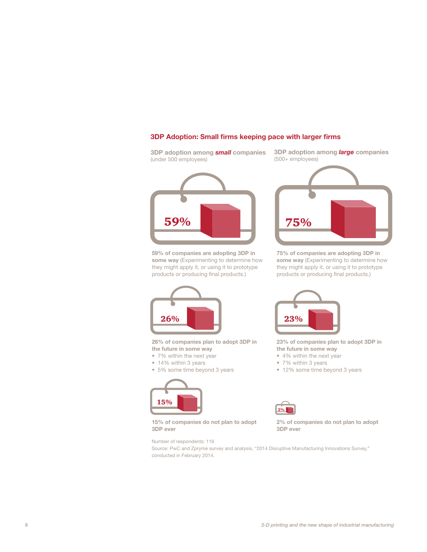### **3DP Adoption: Small firms keeping pace with larger firms**

**3DP adoption among** *small* **companies** (under 500 employees)

59%

**59% of companies are adopting 3DP in some way** (Experimenting to determine how they might apply it, or using it to prototype products or producing final products.)



**26% of companies plan to adopt 3DP in the future in some way**

- 7% within the next year
- 14% within 3 years
- 5% some time beyond 3 years





**23% of companies plan to adopt 3DP in the future in some way**

**2% of companies do not plan to adopt** 

- 4% within the next year
- 7% within 3 years
- 12% some time beyond 3 years



**15% of companies do not plan to adopt 3DP ever**

Number of respondents: 116

**3DP ever**

Source: PwC and Zpryme survey and analysis, "2014 Disruptive Manufacturing Innovations Survey," conducted in February 2014.



**3DP adoption among** *large* **companies**

(500+ employees)

**75% of companies are adopting 3DP in some way** (Experimenting to determine how they might apply it, or using it to prototype products or producing final products.)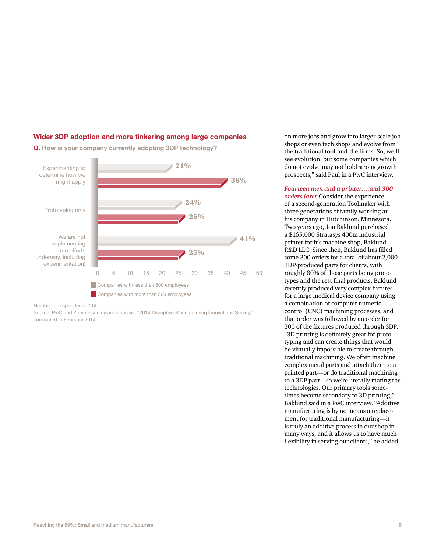#### **Wider 3DP adoption and more tinkering among large companies**





Number of respondents: 114

Source: PwC and Zpryme survey and analysis, "2014 Disruptive Manufacturing Innovations Survey," conducted in February 2014.

on more jobs and grow into larger-scale job shops or even tech shops and evolve from the traditional tool-and-die firms. So, we'll see evolution, but some companies which do not evolve may not hold strong growth prospects," said Paul in a PwC interview.

*Fourteen men and a printer….and 300 orders later* Consider the experience of a second-generation Toolmaker with three generations of family working at his company in Hutchinson, Minnesota. Two years ago, Jon Baklund purchased a \$165,000 Stratasys 400m industrial printer for his machine shop, Baklund R&D LLC. Since then, Baklund has filled some 300 orders for a total of about 2,000 3DP-produced parts for clients, with roughly 80% of those parts being prototypes and the rest final products. Baklund recently produced very complex fixtures for a large medical device company using a combination of computer numeric control (CNC) machining processes, and that order was followed by an order for 300 of the fixtures produced through 3DP. "3D printing is definitely great for prototyping and can create things that would be virtually impossible to create through traditional machining. We often machine complex metal parts and attach them to a printed part—or do traditional machining to a 3DP part—so we're literally mating the technologies. Our primary tools sometimes become secondary to 3D printing," Baklund said in a PwC interview. "Additive manufacturing is by no means a replacement for traditional manufacturing—it is truly an additive process in our shop in many ways, and it allows us to have much flexibility in serving our clients," he added.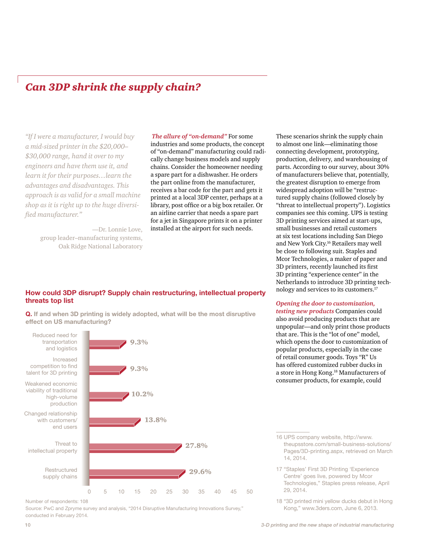# *Can 3DP shrink the supply chain?*

*"If I were a manufacturer, I would buy a mid-sized printer in the \$20,000– \$30,000 range, hand it over to my engineers and have them use it, and learn it for their purposes…learn the advantages and disadvantages. This approach is as valid for a small machine shop as it is right up to the huge diversified manufacturer."* 

> —Dr. Lonnie Love, group leader–manufacturing systems, Oak Ridge National Laboratory

*The allure of "on-demand"* For some industries and some products, the concept of "on-demand" manufacturing could radically change business models and supply chains. Consider the homeowner needing a spare part for a dishwasher. He orders the part online from the manufacturer, receives a bar code for the part and gets it printed at a local 3DP center, perhaps at a library, post office or a big box retailer. Or an airline carrier that needs a spare part

for a jet in Singapore prints it on a printer installed at the airport for such needs.

These scenarios shrink the supply chain to almost one link—eliminating those connecting development, prototyping, production, delivery, and warehousing of parts. According to our survey, about 30% of manufacturers believe that, potentially, the greatest disruption to emerge from widespread adoption will be "restructured supply chains (followed closely by "threat to intellectual property"). Logistics companies see this coming. UPS is testing 3D printing services aimed at start-ups, small businesses and retail customers at six test locations including San Diego and New York City.16 Retailers may well be close to following suit. Staples and Mcor Technologies, a maker of paper and 3D printers, recently launched its first 3D printing "experience center" in the Netherlands to introduce 3D printing technology and services to its customers.17

*Opening the door to customization, testing new products* Companies could also avoid producing products that are unpopular—and only print those products that are. This is the "lot of one" model, which opens the door to customization of popular products, especially in the case of retail consumer goods. Toys "R" Us has offered customized rubber ducks in a store in Hong Kong.<sup>18</sup> Manufacturers of consumer products, for example, could

Reduced need for transportation

and logistics





Changed relationship with customers/ end users



Restructured





Number of respondents: 108

Source: PwC and Zpryme survey and analysis, "2014 Disruptive Manufacturing Innovations Survey," conducted in February 2014.

**How could 3DP disrupt? Supply chain restructuring, intellectual property threats top list**

**Q. If and when 3D printing is widely adopted, what will be the most disruptive effect on US manufacturing?**

<sup>16</sup> UPS company website, http://www. theupsstore.com/small-business-solutions/ Pages/3D-printing.aspx, retrieved on March 14, 2014.

<sup>17</sup> "Staples' First 3D Printing 'Experience Centre' goes live, powered by Mcor Technologies," Staples press release, April 29, 2014.

<sup>18</sup> "3D printed mini yellow ducks debut in Hong Kong," www.3ders.com, June 6, 2013.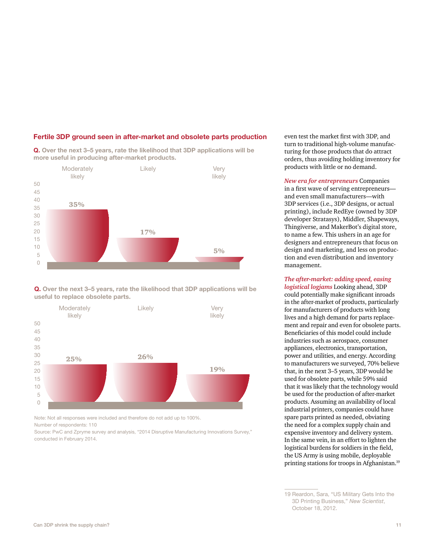

#### **Fertile 3DP ground seen in after-market and obsolete parts production**

**Q. Over the next 3–5 years, rate the likelihood that 3DP applications will be** 





Note: Not all responses were included and therefore do not add up to 100%. Number of respondents: 110

Source: PwC and Zpryme survey and analysis, "2014 Disruptive Manufacturing Innovations Survey," conducted in February 2014.

even test the market first with 3DP, and turn to traditional high-volume manufacturing for those products that do attract orders, thus avoiding holding inventory for products with little or no demand.

*New era for entrepreneurs* Companies in a first wave of serving entrepreneurs and even small manufacturers—with 3DP services (i.e., 3DP designs, or actual printing), include RedEye (owned by 3DP developer Stratasys), Middler, Shapeways, Thingiverse, and MakerBot's digital store, to name a few. This ushers in an age for designers and entrepreneurs that focus on design and marketing, and less on production and even distribution and inventory management.

*The after-market: adding speed, easing logistical logjams* Looking ahead, 3DP could potentially make significant inroads in the after-market of products, particularly for manufacturers of products with long lives and a high demand for parts replacement and repair and even for obsolete parts. Beneficiaries of this model could include

industries such as aerospace, consumer appliances, electronics, transportation, power and utilities, and energy. According to manufacturers we surveyed, 70% believe that, in the next 3–5 years, 3DP would be used for obsolete parts, while 59% said that it was likely that the technology would be used for the production of after-market products. Assuming an availability of local industrial printers, companies could have spare parts printed as needed, obviating the need for a complex supply chain and expensive inventory and delivery system. In the same vein, in an effort to lighten the logistical burdens for soldiers in the field, the US Army is using mobile, deployable printing stations for troops in Afghanistan.<sup>19</sup>

<sup>19</sup> Reardon, Sara, "US Military Gets Into the 3D Printing Business," *New Scientist*, October 18, 2012.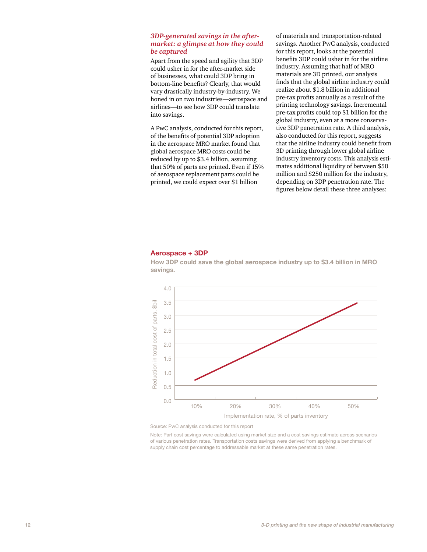#### *3DP-generated savings in the aftermarket: a glimpse at how they could be captured*

Apart from the speed and agility that 3DP could usher in for the after-market side of businesses, what could 3DP bring in bottom-line benefits? Clearly, that would vary drastically industry-by-industry. We honed in on two industries—aerospace and airlines—to see how 3DP could translate into savings.

A PwC analysis, conducted for this report, of the benefits of potential 3DP adoption in the aerospace MRO market found that global aerospace MRO costs could be reduced by up to \$3.4 billion, assuming that 50% of parts are printed. Even if 15% of aerospace replacement parts could be printed, we could expect over \$1 billion

of materials and transportation-related savings. Another PwC analysis, conducted for this report, looks at the potential benefits 3DP could usher in for the airline industry. Assuming that half of MRO materials are 3D printed, our analysis finds that the global airline industry could realize about \$1.8 billion in additional pre-tax profits annually as a result of the printing technology savings. Incremental pre-tax profits could top \$1 billion for the global industry, even at a more conservative 3DP penetration rate. A third analysis, also conducted for this report, suggests that the airline industry could benefit from 3D printing through lower global airline industry inventory costs. This analysis estimates additional liquidity of between \$50 million and \$250 million for the industry, depending on 3DP penetration rate. The figures below detail these three analyses:

#### **Aerospace + 3DP**



**How 3DP could save the global aerospace industry up to \$3.4 billion in MRO savings.**

Source: PwC analysis conducted for this report

Note: Part cost savings were calculated using market size and a cost savings estimate across scenarios of various penetration rates. Transportation costs savings were derived from applying a benchmark of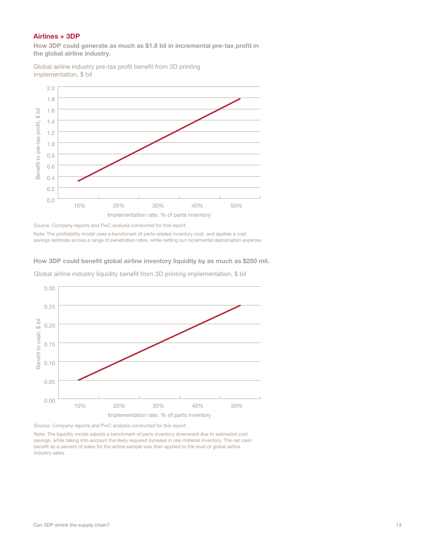### **Airlines + 3DP**

**How 3DP could generate as much as \$1.8 bil in incremental pre-tax profit in the global airline industry.**

Global airline industry pre-tax profit benefit from 3D printing implementation, \$ bil



Source: Company reports and PwC analysis conducted for this report.

Note: The profitability model uses a benchmark of parts-related inventory cost, and applies a cost

#### **How 3DP could benefit global airline inventory liquidity by as much as \$250 mil.**

Global airline industry liquidity benefit from 3D printing implementation, \$ bil



Source: Company reports and PwC analysis conducted for this report.

Note: The liquidity model adjusts a benchmark of parts inventory downward due to estimated cost savings, while taking into account the likely required increase in raw material inventory. The net cash benefit as a percent of sales for the airline sample was then applied to the level of global airline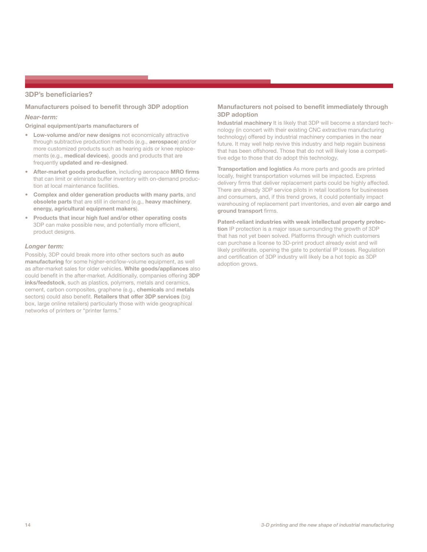#### **3DP's beneficiaries?**

#### **Manufacturers poised to benefit through 3DP adoption**

#### *Near-term:*

**Original equipment/parts manufacturers of** 

- **Low-volume and/or new designs** not economically attractive through subtractive production methods (e.g., **aerospace**) and/or more customized products such as hearing aids or knee replacements (e.g., **medical devices**), goods and products that are frequently **updated and re-designed**.
- **After-market goods production**, including aerospace **MRO firms** that can limit or eliminate buffer inventory with on-demand production at local maintenance facilities.
- **Complex and older generation products with many parts**, and **obsolete parts** that are still in demand (e.g., **heavy machinery**, **energy, agricultural equipment makers**).
- **Products that incur high fuel and/or other operating costs** 3DP can make possible new, and potentially more efficient, product designs.

#### *Longer term:*

Possibly, 3DP could break more into other sectors such as **auto manufacturing** for some higher-end/low-volume equipment, as well as after-market sales for older vehicles. **White goods/appliances** also could benefit in the after-market. Additionally, companies offering **3DP inks/feedstock**, such as plastics, polymers, metals and ceramics, cement, carbon composites, graphene (e.g., **chemicals** and **metals** sectors) could also benefit. **Retailers that offer 3DP services** (big box, large online retailers) particularly those with wide geographical networks of printers or "printer farms."

#### **Manufacturers not poised to benefit immediately through 3DP adoption**

**Industrial machinery** It is likely that 3DP will become a standard technology (in concert with their existing CNC extractive manufacturing technology) offered by industrial machinery companies in the near future. It may well help revive this industry and help regain business that has been offshored. Those that do not will likely lose a competitive edge to those that do adopt this technology.

**Transportation and logistics** As more parts and goods are printed locally, freight transportation volumes will be impacted. Express delivery firms that deliver replacement parts could be highly affected. There are already 3DP service pilots in retail locations for businesses and consumers, and, if this trend grows, it could potentially impact warehousing of replacement part inventories, and even **air cargo and ground transport** firms.

**Patent-reliant industries with weak intellectual property protection** IP protection is a major issue surrounding the growth of 3DP that has not yet been solved. Platforms through which customers can purchase a license to 3D-print product already exist and will likely proliferate, opening the gate to potential IP losses. Regulation and certification of 3DP industry will likely be a hot topic as 3DP adoption grows.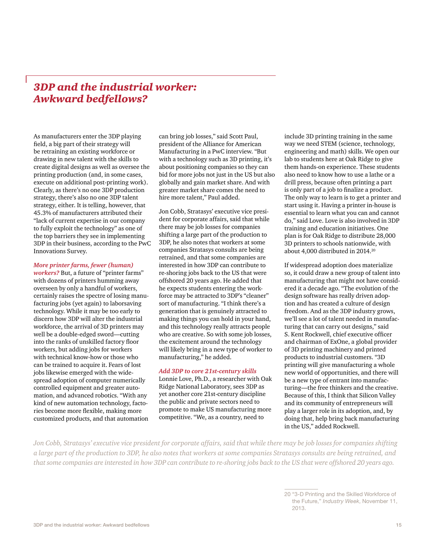# *3DP and the industrial worker: Awkward bedfellows?*

As manufacturers enter the 3DP playing field, a big part of their strategy will be retraining an existing workforce or drawing in new talent with the skills to create digital designs as well as oversee the printing production (and, in some cases, execute on additional post-printing work). Clearly, as there's no one 3DP production strategy, there's also no one 3DP talent strategy, either. It is telling, however, that 45.3% of manufacturers attributed their "lack of current expertise in our company to fully exploit the technology" as one of the top barriers they see in implementing 3DP in their business, according to the PwC Innovations Survey.

#### *More printer farms, fewer (human)*

*workers?* But, a future of "printer farms" with dozens of printers humming away overseen by only a handful of workers, certainly raises the spectre of losing manufacturing jobs (yet again) to laborsaving technology. While it may be too early to discern how 3DP will alter the industrial workforce, the arrival of 3D printers may well be a double-edged sword—cutting into the ranks of unskilled factory floor workers, but adding jobs for workers with technical know-how or those who can be trained to acquire it. Fears of lost jobs likewise emerged with the widespread adoption of computer numerically controlled equipment and greater automation, and advanced robotics. "With any kind of new automation technology, factories become more flexible, making more customized products, and that automation

can bring job losses," said Scott Paul, president of the Alliance for American Manufacturing in a PwC interview. "But with a technology such as 3D printing, it's about positioning companies so they can bid for more jobs not just in the US but also globally and gain market share. And with greater market share comes the need to hire more talent," Paul added.

Jon Cobb, Stratasys' executive vice president for corporate affairs, said that while there may be job losses for companies shifting a large part of the production to 3DP, he also notes that workers at some companies Stratasys consults are being retrained, and that some companies are interested in how 3DP can contribute to re-shoring jobs back to the US that were offshored 20 years ago. He added that he expects students entering the workforce may be attracted to 3DP's "cleaner" sort of manufacturing. "I think there's a generation that is genuinely attracted to making things you can hold in your hand, and this technology really attracts people who are creative. So with some job losses, the excitement around the technology will likely bring in a new type of worker to manufacturing," he added.

#### *Add 3DP to core 21st-century skills*

Lonnie Love, Ph.D., a researcher with Oak Ridge National Laboratory, sees 3DP as yet another core 21st-century discipline the public and private sectors need to promote to make US manufacturing more competitive. "We, as a country, need to

include 3D printing training in the same way we need STEM (science, technology, engineering and math) skills. We open our lab to students here at Oak Ridge to give them hands-on experience. These students also need to know how to use a lathe or a drill press, because often printing a part is only part of a job to finalize a product. The only way to learn is to get a printer and start using it. Having a printer in-house is essential to learn what you can and cannot do," said Love. Love is also involved in 3DP training and education initiatives. One plan is for Oak Ridge to distribute 28,000 3D printers to schools nationwide, with about 4,000 distributed in 2014.20

If widespread adoption does materialize so, it could draw a new group of talent into manufacturing that might not have considered it a decade ago. "The evolution of the design software has really driven adoption and has created a culture of design freedom. And as the 3DP industry grows, we'll see a lot of talent needed in manufacturing that can carry out designs," said S. Kent Rockwell, chief executive officer and chairman of ExOne, a global provider of 3D printing machinery and printed products to industrial customers. "3D printing will give manufacturing a whole new world of opportunities, and there will be a new type of entrant into manufacturing—the free thinkers and the creative. Because of this, I think that Silicon Valley and its community of entrepreneurs will play a larger role in its adoption, and, by doing that, help bring back manufacturing in the US," added Rockwell.

*Jon Cobb, Stratasys' executive vice president for corporate affairs, said that while there may be job losses for companies shifting a large part of the production to 3DP, he also notes that workers at some companies Stratasys consults are being retrained, and that some companies are interested in how 3DP can contribute to re-shoring jobs back to the US that were offshored 20 years ago.* 

<sup>20</sup> "3-D Printing and the Skilled Workforce of the Future," *Industry Week*, November 11, 2013.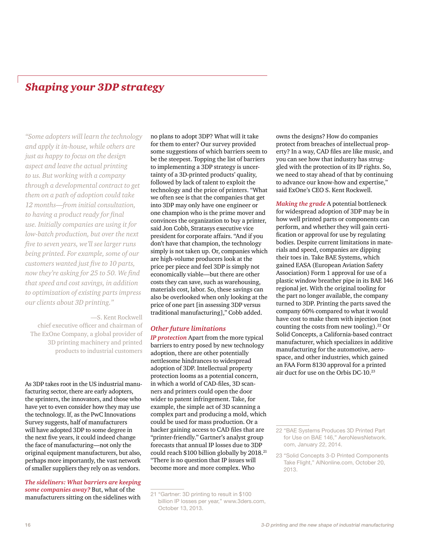# *Shaping your 3DP strategy*

*"Some adopters will learn the technology and apply it in-house, while others are just as happy to focus on the design aspect and leave the actual printing to us. But working with a company through a developmental contract to get them on a path of adoption could take 12 months—from initial consultation, to having a product ready for final use. Initially companies are using it for low-batch production, but over the next five to seven years, we'll see larger runs being printed. For example, some of our customers wanted just five to 10 parts, now they're asking for 25 to 50. We find that speed and cost savings, in addition to optimization of existing parts impress our clients about 3D printing."*

—S. Kent Rockwell chief executive officer and chairman of The ExOne Company, a global provider of 3D printing machinery and printed products to industrial customers

As 3DP takes root in the US industrial manufacturing sector, there are early adopters, the sprinters, the innovators, and those who have yet to even consider how they may use the technology. If, as the PwC Innovations Survey suggests, half of manufacturers will have adopted 3DP to some degree in the next five years, it could indeed change the face of manufacturing—not only the original equipment manufacturers, but also, perhaps more importantly, the vast network of smaller suppliers they rely on as vendors.

*The sideliners: What barriers are keeping some companies away?* But, what of the manufacturers sitting on the sidelines with

no plans to adopt 3DP? What will it take for them to enter? Our survey provided some suggestions of which barriers seem to be the steepest. Topping the list of barriers to implementing a 3DP strategy is uncertainty of a 3D-printed products' quality, followed by lack of talent to exploit the technology and the price of printers. "What we often see is that the companies that get into 3DP may only have one engineer or one champion who is the prime mover and convinces the organization to buy a printer, said Jon Cobb, Stratasys executive vice president for corporate affairs. "And if you don't have that champion, the technology simply is not taken up. Or, companies which are high-volume producers look at the price per piece and feel 3DP is simply not economically viable—but there are other costs they can save, such as warehousing, materials cost, labor. So, these savings can also be overlooked when only looking at the price of one part [in assessing 3DP versus traditional manufacturing]," Cobb added.

#### *Other future limitations*

*IP protection* Apart from the more typical barriers to entry posed by new technology adoption, there are other potentially nettlesome hindrances to widespread adoption of 3DP. Intellectual property protection looms as a potential concern, in which a world of CAD-files, 3D scanners and printers could open the door wider to patent infringement. Take, for example, the simple act of 3D scanning a complex part and producing a mold, which could be used for mass production. Or a hacker gaining access to CAD files that are "printer-friendly." Gartner's analyst group forecasts that annual IP losses due to 3DP could reach \$100 billion globally by 2018.21 "There is no question that IP issues will become more and more complex. Who

owns the designs? How do companies protect from breaches of intellectual property? In a way, CAD files are like music, and you can see how that industry has struggled with the protection of its IP rights. So, we need to stay ahead of that by continuing to advance our know-how and expertise," said ExOne's CEO S. Kent Rockwell.

*Making the grade* A potential bottleneck for widespread adoption of 3DP may be in how well printed parts or components can perform, and whether they will gain certification or approval for use by regulating bodies. Despite current limitations in materials and speed, companies are dipping their toes in. Take BAE Systems, which gained EASA (European Aviation Safety Association) Form 1 approval for use of a plastic window breather pipe in its BAE 146 regional jet. With the original tooling for the part no longer available, the company turned to 3DP. Printing the parts saved the company 60% compared to what it would have cost to make them with injection (not counting the costs from new tooling).<sup>22</sup> Or Solid Concepts, a California-based contract manufacturer, which specializes in additive manufacturing for the automotive, aerospace, and other industries, which gained an FAA Form 8130 approval for a printed air duct for use on the Orbis DC-10.23

<sup>21</sup> "Gartner: 3D printing to result in \$100 billion IP losses per year," www.3ders.com, October 13, 2013.

<sup>22</sup> "BAE Systems Produces 3D Printed Part for Use on BAE 146," AeroNewsNetwork. com, January 22, 2014.

<sup>23</sup> "Solid Concepts 3-D Printed Components Take Flight," AINonline.com, October 20, 2013.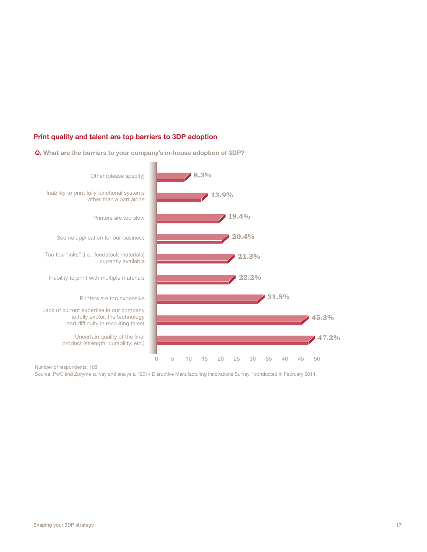### **Print quality and talent are top barriers to 3DP adoption**





Number of respondents: 108

Source: PwC and Zpryme survey and analysis, "2014 Disruptive Manufacturing Innovations Survey," conducted in February 2014.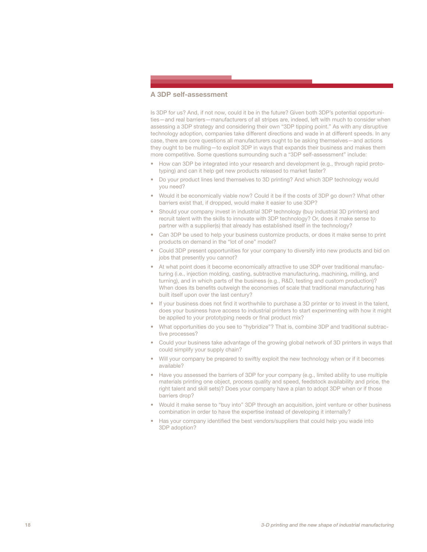#### **A 3DP self-assessment**

Is 3DP for us? And, if not now, could it be in the future? Given both 3DP's potential opportunities—and real barriers—manufacturers of all stripes are, indeed, left with much to consider when assessing a 3DP strategy and considering their own "3DP tipping point." As with any disruptive technology adoption, companies take different directions and wade in at different speeds. In any case, there are core questions all manufacturers ought to be asking themselves—and actions they ought to be mulling—to exploit 3DP in ways that expands their business and makes them more competitive. Some questions surrounding such a "3DP self-assessment" include:

- How can 3DP be integrated into your research and development (e.g., through rapid prototyping) and can it help get new products released to market faster?
- Do your product lines lend themselves to 3D printing? And which 3DP technology would you need?
- Would it be economically viable now? Could it be if the costs of 3DP go down? What other barriers exist that, if dropped, would make it easier to use 3DP?
- Should your company invest in industrial 3DP technology (buy industrial 3D printers) and recruit talent with the skills to innovate with 3DP technology? Or, does it make sense to partner with a supplier(s) that already has established itself in the technology?
- Can 3DP be used to help your business customize products, or does it make sense to print products on demand in the "lot of one" model?
- Could 3DP present opportunities for your company to diversify into new products and bid on jobs that presently you cannot?
- At what point does it become economically attractive to use 3DP over traditional manufacturing (i.e., injection molding, casting, subtractive manufacturing, machining, milling, and turning), and in which parts of the business (e.g., R&D, testing and custom production)? When does its benefits outweigh the economies of scale that traditional manufacturing has built itself upon over the last century?
- If your business does not find it worthwhile to purchase a 3D printer or to invest in the talent, does your business have access to industrial printers to start experimenting with how it might be applied to your prototyping needs or final product mix?
- What opportunities do you see to "hybridize"? That is, combine 3DP and traditional subtractive processes?
- Could your business take advantage of the growing global network of 3D printers in ways that could simplify your supply chain?
- Will your company be prepared to swiftly exploit the new technology when or if it becomes available?
- Have you assessed the barriers of 3DP for your company (e.g., limited ability to use multiple materials printing one object, process quality and speed, feedstock availability and price, the right talent and skill sets)? Does your company have a plan to adopt 3DP when or if those barriers drop?
- Would it make sense to "buy into" 3DP through an acquisition, joint venture or other business combination in order to have the expertise instead of developing it internally?
- Has your company identified the best vendors/suppliers that could help you wade into 3DP adoption?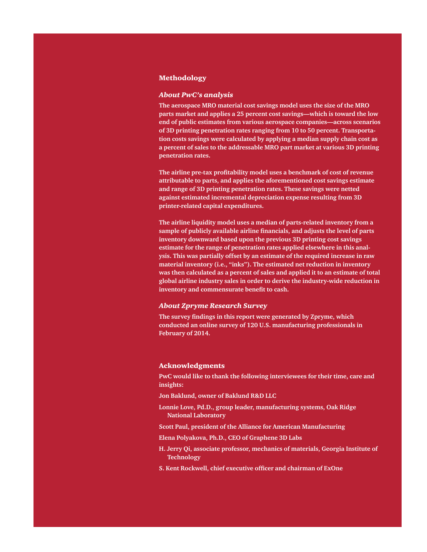#### Methodology

#### *About PwC's analysis*

**The aerospace MRO material cost savings model uses the size of the MRO parts market and applies a 25 percent cost savings—which is toward the low end of public estimates from various aerospace companies—across scenarios of 3D printing penetration rates ranging from 10 to 50 percent. Transportation costs savings were calculated by applying a median supply chain cost as a percent of sales to the addressable MRO part market at various 3D printing penetration rates.**

**The airline pre-tax profitability model uses a benchmark of cost of revenue attributable to parts, and applies the aforementioned cost savings estimate and range of 3D printing penetration rates. These savings were netted against estimated incremental depreciation expense resulting from 3D printer-related capital expenditures.**

**The airline liquidity model uses a median of parts-related inventory from a sample of publicly available airline financials, and adjusts the level of parts inventory downward based upon the previous 3D printing cost savings estimate for the range of penetration rates applied elsewhere in this analysis. This was partially offset by an estimate of the required increase in raw material inventory (i.e., "inks"). The estimated net reduction in inventory was then calculated as a percent of sales and applied it to an estimate of total global airline industry sales in order to derive the industry-wide reduction in inventory and commensurate benefit to cash.**

### *About Zpryme Research Survey*

**The survey findings in this report were generated by Zpryme, which conducted an online survey of 120 U.S. manufacturing professionals in February of 2014.**

#### Acknowledgments

**PwC would like to thank the following interviewees for their time, care and insights:**

**Jon Baklund, owner of Baklund R&D LLC**

- **Lonnie Love, Pd.D., group leader, manufacturing systems, Oak Ridge National Laboratory**
- **Scott Paul, president of the Alliance for American Manufacturing**

**Elena Polyakova, Ph.D., CEO of Graphene 3D Labs**

- **H. Jerry Qi, associate professor, mechanics of materials, Georgia Institute of Technology**
- **S. Kent Rockwell, chief executive officer and chairman of ExOne**